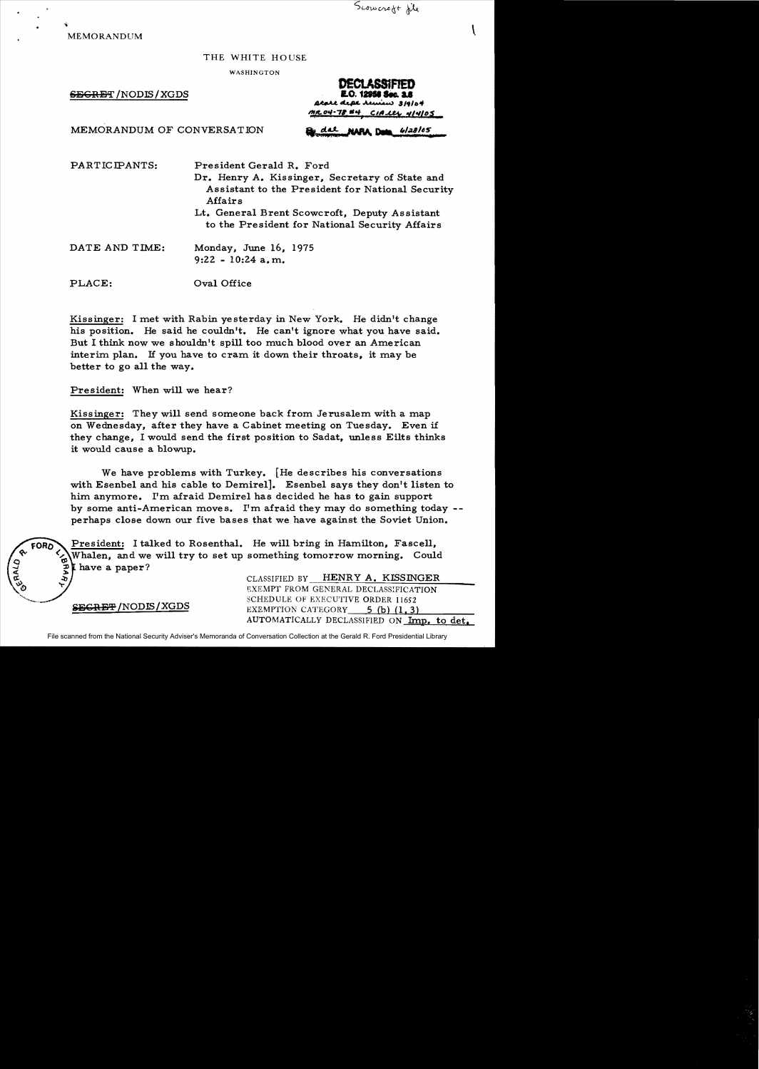

 $\mathbf{I}$ 

MEMORANDUM

## THE WHITE HOUSE

WASHINGTON

 $SE$ GRET / NODIS / XGDS

**OECLASStFIED**  4...p;I.. .A u ......) *,/9/0"*  ~CS= *""·71.* **""",** G/t!:::C.!;k *:tl.,/os* 

NARA Dem

6/28/05

MEMORANDUM OF CONVERSATION

PARTICIPANTS:

President Gerald R. Ford Dr. Henry A. Kissinger. Secretary of State and Assistant to the President for National Security Affairs

Lt. General Brent Scowcroft. Deputy Assistant to the President for National Security Affairs

DATE AND TIME: Monday. June 16. 1975 9:22 - 10:24 a.m.

PLACE: Oval Office

Kissinger: I met with Rabin yesterday in New York. He didn't change his position. He said he couldn't. He can't ignore what you have said. But I think now we shouldn't spill too much blood over an American interim plan. H you have to cram it down their throats, it may be better to go all the way.

President: When will we hear?

Kissinger: They will send someone back from Jerusalem with a map on Wednesday. after they have a Cabinet meeting on Tuesday. Even if they change. I would send the first position to Sadat, unless Eilts thinks it would cause a blowup.

We have problems with Turkey. [He describes his conversations with Esenbel and his cable to Demirel]. Esenbel says they don't listen to him anymore. I'm afraid Demirel has decided he has to gain support by some anti-American moves. I'm afraid they may do something today perhaps close down our five bases that we have against the Soviet Union.

 $FORD$  President: I talked to Rosenthal. He will bring in Hamilton, Fascell, Whalen, and we will try to set up something tomorrow morning. Could I have a paper?

SEGRET/NODIS/XGDS

২, "r

CLASSIFIED BY -=:-::-H=E=N~R-::Y:--A::-=.---=-K,-=LSc.::...:;:..S=IN:....:..G=E;;,;;;R~\_\_ EXEMPT FROM GENERAL DECLASS!FICATION SCHEDULE OF EXECUTIVE ORDER 11652 EXEMPTION CATEGORY  $5$  (b) (1.3) AUTOMATICALLY DECLASSIFIED ON Imp. to det.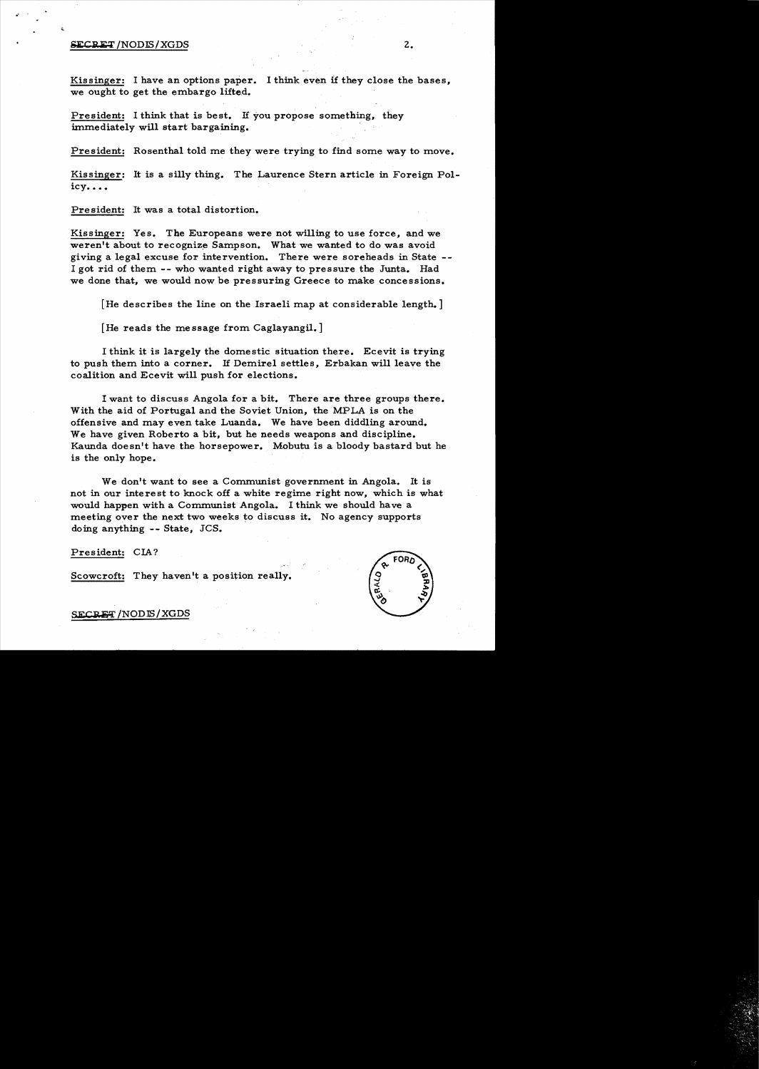## $SECREF/NODIS/XGDS$  2.

Kissinger: I have an options paper. I think even if they close the bases, we ought to get the embargo lifted.

President: I think that is best. *H* you propose something, they immediately will start bargaining.

President: Rosenthal told me they were trying to find some way to move.

Kissinger: It is a silly thing. The Laurence Stern article in Foreign Policy....

President: It was a total distortion.

Kissinger: Yes. The Europeans were not willing to use force, and we weren't about to recognize Sampson. What we wanted to do was avoid giving a legal excuse for intervention. There were soreheads in State - I got rid of them -- who wanted right away to pressure the Junta. Had we done that, we would now be pressuring Greece to make concessions.

[He describes the line on the Israeli map at considerable length.]

[He reads the message from Caglayangil.]

I think it is largely the domestic situation there. Ecevit is trying to push them into a corner. H Demirel settles, Erbakan will leave the coalition and Ecevit will push for elections.

I want to discuss Angola for a bit. There are three groups there. With the aid of Portugal and the Soviet Union, the MPLA is on the offensive and may even take Luanda. We have been diddling around. We have given Roberto a bit, but he needs weapons and discipline. Kaunda doesn't have the horsepower. Mobutu is a bloody bastard but he is the only hope.

We don't want to see a Communist government in Angola. It is not in our interest to knock off a white regime right now, which is what would happen with a Communist Angola. I think we should have a meeting over the next two weeks to discuss it. No agency supports doing anything -- State, JCS.

### President: CIA?

Scowcroft: They haven't a position really.



## SECRET / NOD IS / XGDS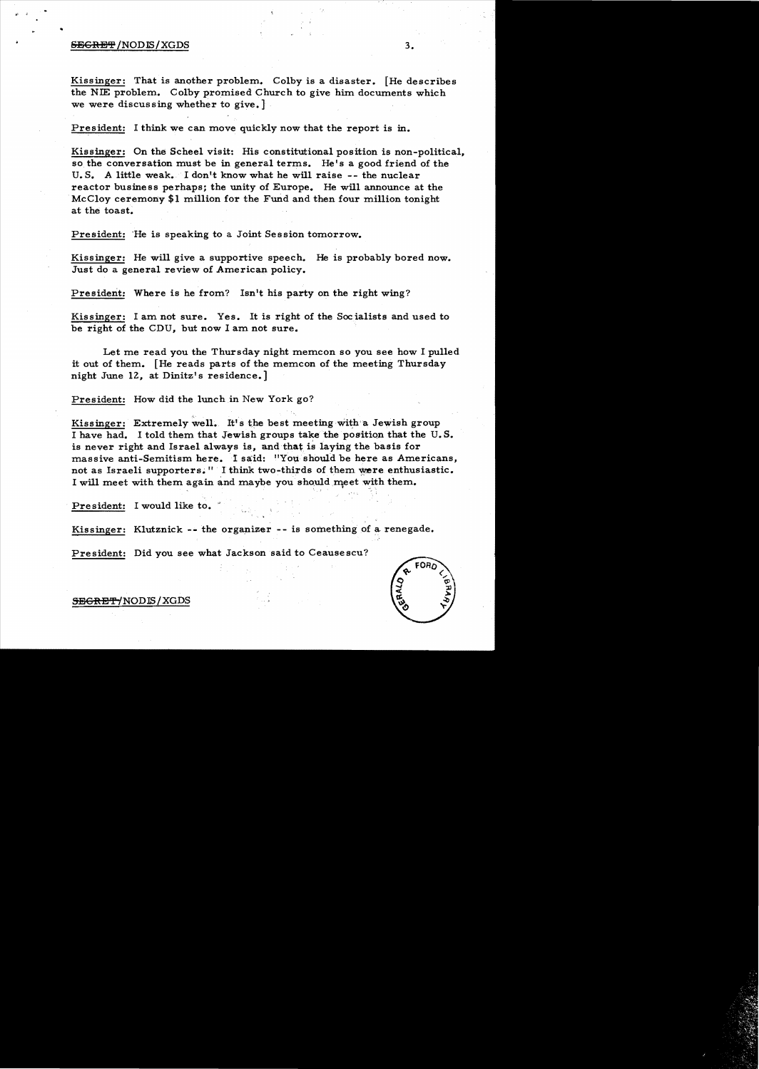#### $S$ EGRET /NODIS / XGDS  $3.$

..

Kissinger: That is another problem. Colby is a disaster. [He describes the NIE problem. Colby promised Church to give him documents which we were discussing whether to give.

President: I think we can move quickly now that the report is in.

Kissinger: On the Scheel visit: His constitutional position is non-political, so the conversation must be in general terms. He's a good friend of the U.S. A little weak. I don't know what he will raise  $-$ - the nuclear reactor business perhaps; the unity of Europe. He will announce at the McCloy ceremony \$1 million for the Fund and then four million tonight at the toast.

President: He is speaking to a Joint Session tomorrow.

Kissinger: He will give a supportive speech. He is probably bored now. Just do a general review of American policy.

President: Where is he from? Isn't his party on the right wing?

Kissinger: I am not sure. Yes. It is right of the Socialists and used to. be right of the CDU, but now I am not sure.

Let me read you the Thursday night memcon so you see how I pulled it out of them. [He reads parts of the memcon of the meeting Thursday night June 12, at Dinitz's residence.

President: How did the lunch in New York go?

Kissinger: Extremely well. It's the best meeting with a Jewish group I have had. I told them that Jewish groups take the position that the U.S. is never right and Israel always is, and that is laying the basis for massive anti-Semitism here. I said: "You should be here as Americans, not as Israeli supporters." I think two-thirds of them were enthusiastic. I will meet with them again and maybe you should meet with them.

> • • • , • ~

President: I would like to.

Kissinger: Klutznick -- the organizer -- is something of a renegade.

President: Did you see what Jackson said to Ceausescu?



SBGRET/NODIS/XGDS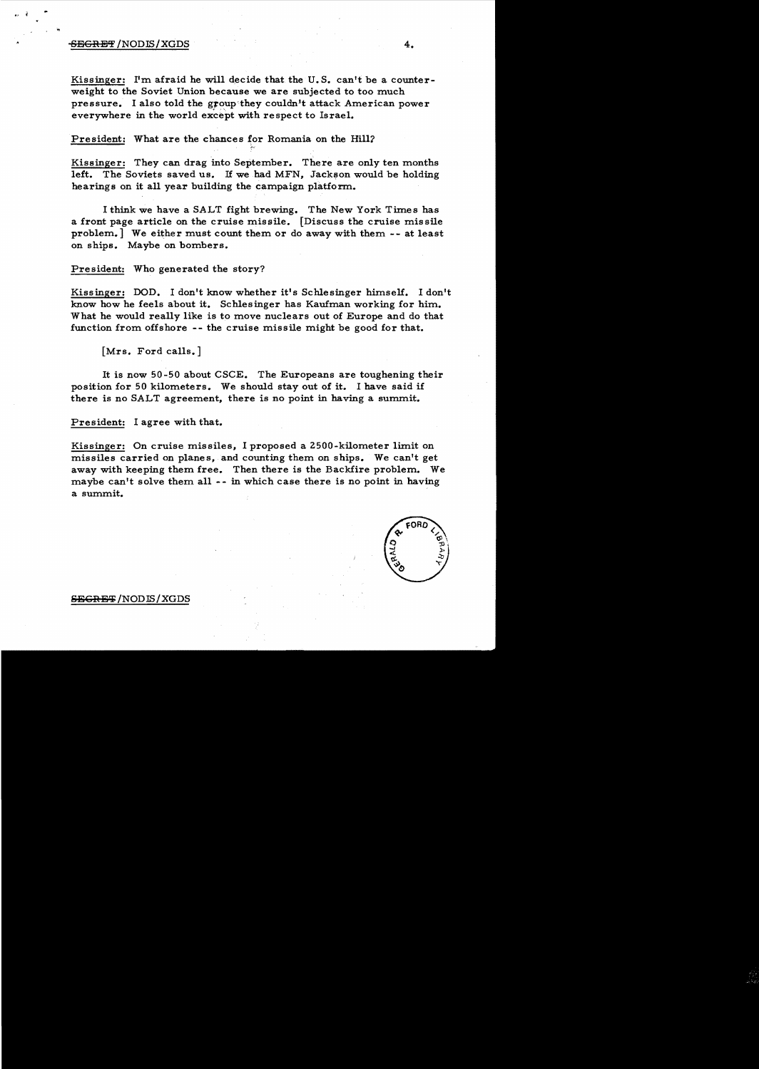# SEGRET /NODIS/XGDS 4.

Kissinger: I'm afraid he will decide that the U. S. can't be a counterweight to the Soviet Union because we are subjected to too much pressure. I also told the group they couldn't attack American power everywhere in the world except with respect to Israel.

President: What are the chances for Romania on the Hill?

Kissinger: They can drag into September. There are only ten months left. The Soviets saved us. If we had MFN, Jackson would be holding hearings on it all year building the campaign platform.

I think we have a SALT fight brewing. The New York Times has a front page article on the cruise missile. [Discuss the cruise missile problem.] We either must count them or do away with them -- at least on ships. Maybe on bombers.

President: Who generated the story?

Kissinger: DOD. I don't know whether it's Schlesinger himself. I don't know how he feels about it. Schlesinger has Kaufman working for him. What he would really like is to move nuclears out of Europe and do that function from offshore -- the cruise missile might be good for that.

[Mrs. Ford calls. ]

It is now 50 -50 about CSCE. The Europeans are toughening their position for 50 kilometers. We should stay out of it. I have said if there is no SALT agreement, there is no point in having a summit.

President: I agree with that.

Kissinger: On cruise missiles, I proposed a 2500-kilometer limit on missiles carried on planes, and counting them on ships. We can't get away with keeping them free. Then there is the Backfire problem. We maybe can't solve them all -- in which case there is no point in having a summit.



#### <del>SECRET</del>/NODIS/XGDS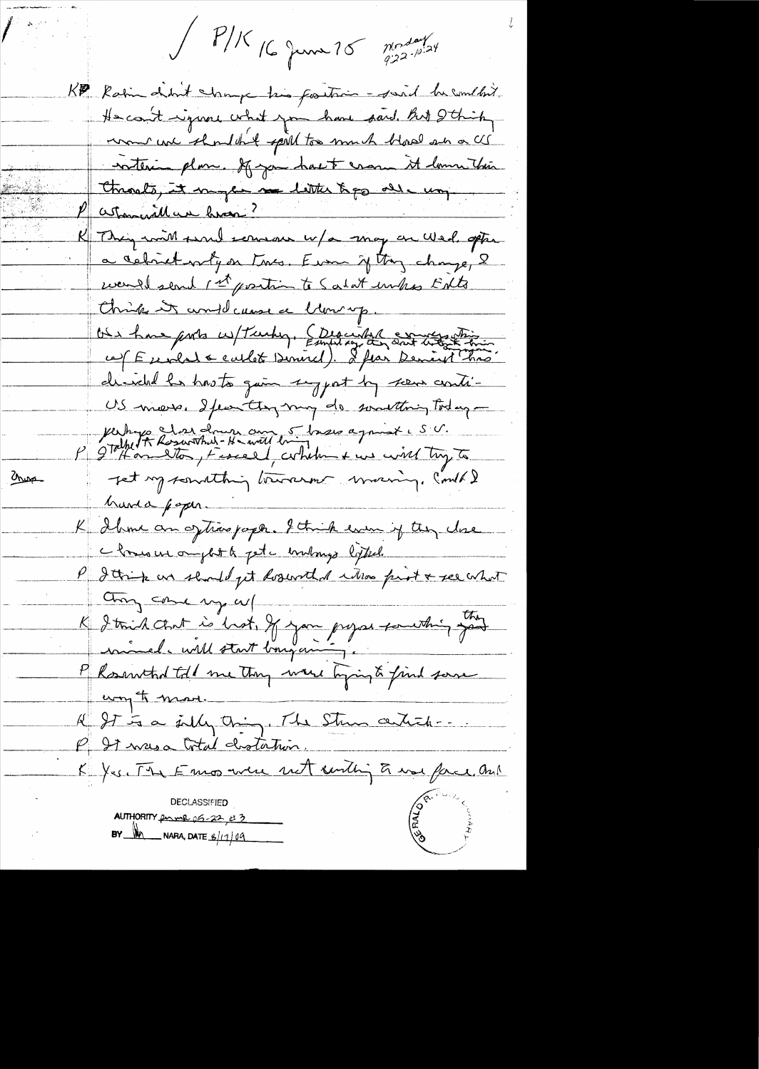$\int$   $P/K$  16 June 10  $\int_{q^{12}}^{p^{10}}$ 

KP Rain debut change his fortion - said he couldn't. He could regione what you have paid but I think women we shouldn't spill too much blood an a CG noteringlome. If you hast crown it low this Chronets, it may be no little topp all un. R Thing with surely served w/a may on Wed, option a celiset why on two. Even if they change, 2 wand send 1st position to Salat unks ENto Chings in and cause a blowing.<br>On have ports w/ Tanky, Ethanist Sont the state ce (Eurlat & carlot Denirel). If fai Deniret très directed is has to gain suggest by scene conti-US miers. Ifeen they may do something today -Verhys Les drun au 5 brew agnist e S.V.<br>P 9 Tolket Rosarthal-H-will brind agnist e S.V.  $2000$ Jet my somathing towarm maring. Could & harda poper K Ihme an oftime paper. I think even if they close Monsieur omjet le pet c'embourge ligted. P detrip un should get doservel d'utilise print & see what K I trid cent is hot, If you prejos couthing god any come up w/ P Rosenthal told me they were tyingto find some A It is a july thing. The Strew certich-P 27 masa Cotal chotation. K Yes. The Emos were not centing to use face, and **DECLASSIFIED** AUTHORITY  $p_{\text{w}}$  or  $p_{\text{w}}$  and  $p_{\text{w}}$  and  $p_{\text{w}}$ BY  $M$  NARA, DATE  $6/1/09$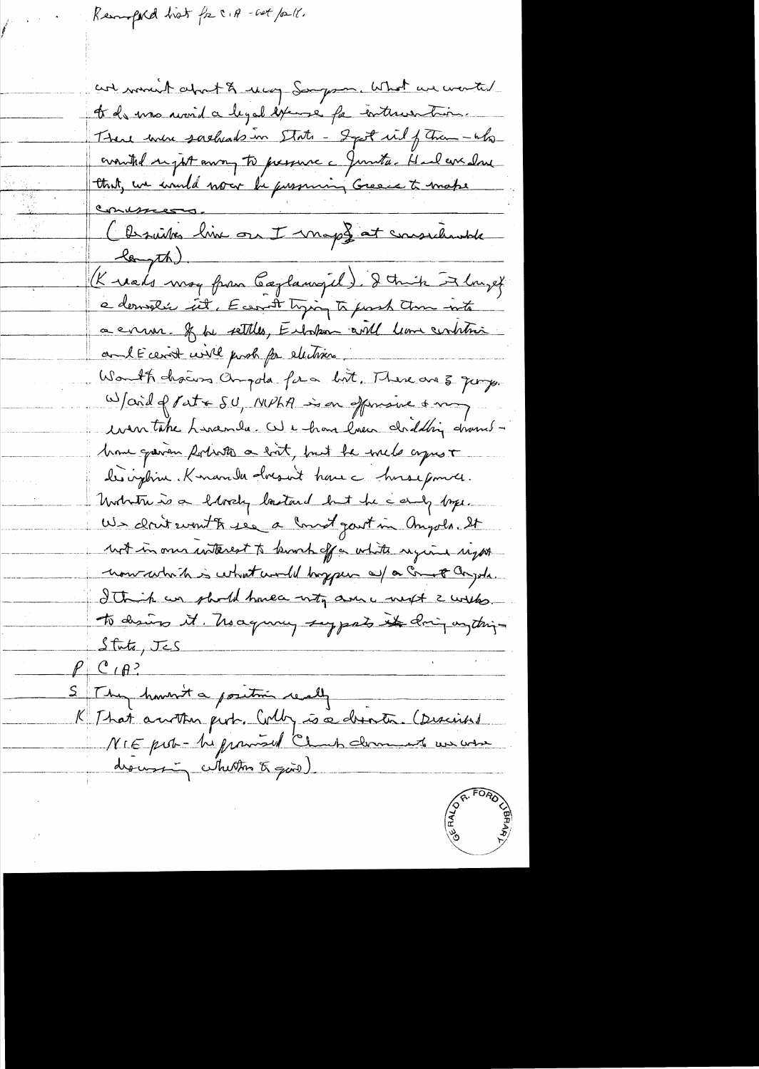Remptad hist for CIA - cat poll.

are moved about & way Sorryson, What we wented to de ma monda legal exempe fa enterentair. There were sacheads in State - Sept in of Than -who crowthe sight away to pressure a Junita-Haal everlave that, we would now be pressuring Greece to make Conusces en ussessers.<br>Christie line on I mapf at sonsidente Knads may from Caylawyel). I think it longet a derneli est, E carat tyring to forsh them into a evenue. If he settles, Entrehan and leave centrari and E cerist will prob for electrics. Wonth chairs Chipola for a bot. There are 3 Jung. Ward of Pat & SU, MPhA is on offensive & my us take Lineanda. We have love and this drambhome gaven fortrottes a bot, but he will agrest des implieur. Konamba docsait have a honse pource. Unitative is a largely loritund but he camp byer. US dont wont to see a long gout in Anyols. It not in our wterest to knock off a white regione sight now which is what would bryper all a creat angola. I think we should have<br>a with a me with to desires it. No agreey supports it doing on this  $Stitz, JES$  $\rho$  C  $\rho$ ? S They haven't a positive really K That author put. Colly is a droite. (Discrime drousing whether of give)

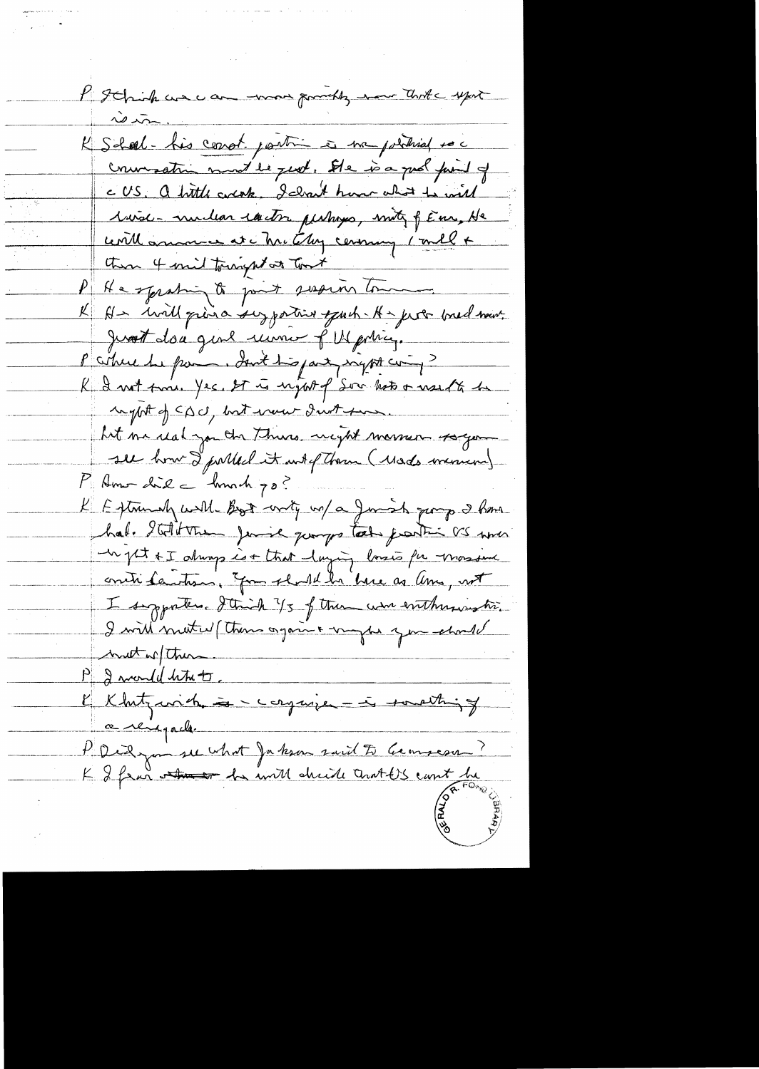P Schichune au mon proches nou Thris upont K Soleel-his cerrot partir à ma position es couration must be just. She is a good find of CUS. a bittle corcate. I cleant have allot to will 1 viol-muleur entre personnes, motif féns, He cerill amounce at a Mr. Clay ceremany 1 mill + then 4 mil tourpt at that P He sprating to just susum low K His will grina suzportive offert A - fort bred most Just don quil une fMartin P citrue de pai . Sont tropart signt compte K I not troie Yes. It is night of Soo hot & need to be regpt of CDU, but vour d'uit sur hit me real you the Thins weight masser soger P Home did \_ hunch go? K Extremely well Book write wa/ a Junish group 2 hours hal. Italitte fairl querys take partir as me un pt +I always is + that laying lossis for mossome contributions, Jon should be been as lime, not I supporters. I think 1/3 of them were enthusiastic. I will metal (them again & wythe you should mutter them. P 2 monde letter. Khitzwich = corpuse = is touthing a reigade P. Didge me what Jakon said to Geometry ?